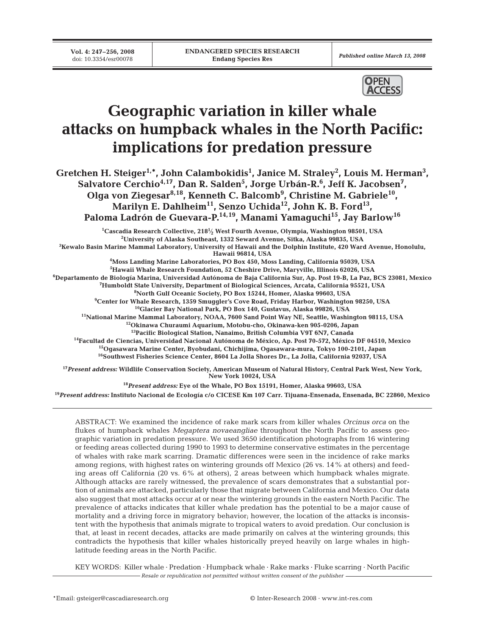

# **Geographic variation in killer whale attacks on humpback whales in the North Pacific: implications for predation pressure**

**Gretchen H. Steiger1,\*, John Calambokidis1 , Janice M. Straley2 , Louis M. Herman3 , Salvatore Cerchio4,17, Dan R. Salden5 , Jorge Urbán-R.6 , Jeff K. Jacobsen7 , Olga von Ziegesar8,18, Kenneth C. Balcomb9 , Christine M. Gabriele10, Marilyn E. Dahlheim11, Senzo Uchida12, John K. B. Ford13,** Paloma Ladrón de Guevara-P.<sup>14,19</sup>, Manami Yamaguchi<sup>15</sup>, Jay Barlow<sup>16</sup>

**1 Cascadia Research Collective, 2181⁄ <sup>2</sup> West Fourth Avenue, Olympia, Washington 98501, USA <sup>2</sup> University of Alaska Southeast, 1332 Seward Avenue, Sitka, Alaska 99835, USA 3 Kewalo Basin Marine Mammal Laboratory, University of Hawaii and the Dolphin Institute, 420 Ward Avenue, Honolulu, Hawaii 96814, USA 4 Moss Landing Marine Laboratories, PO Box 450, Moss Landing, California 95039, USA 5 Hawaii Whale Research Foundation, 52 Cheshire Drive, Maryville, Illinois 62026, USA 6 Departamento de Biología Marina, Universidad Autónoma de Baja California Sur, Ap. Post 19-B, La Paz, BCS 23081, Mexico 7 Humboldt State University, Department of Biological Sciences, Arcata, California 95521, USA 8 North Gulf Oceanic Society, PO Box 15244, Homer, Alaska 99603, USA 9 Center for Whale Research, 1359 Smuggler's Cove Road, Friday Harbor, Washington 98250, USA 10Glacier Bay National Park, PO Box 140, Gustavus, Alaska 99826, USA 11National Marine Mammal Laboratory, NOAA, 7600 Sand Point Way NE, Seattle, Washington 98115, USA 12Okinawa Churaumi Aquarium, Motobu-cho, Okinawa-ken 905-0206, Japan 13Pacific Biological Station, Nanaimo, British Columbia V9T 6N7, Canada 14Facultad de Ciencias, Universidad Nacional Autónoma de México, Ap. Post 70-572, México DF 04510, Mexico 15Ogasawara Marine Center, Byobudani, Chichijima, Ogasawara-mura, Tokyo 100-2101, Japan 16Southwest Fisheries Science Center, 8604 La Jolla Shores Dr., La Jolla, California 92037, USA <sup>17</sup>***Present address:* **Wildlife Conservation Society, American Museum of Natural History, Central Park West, New York, New York 10024, USA**

**<sup>18</sup>***Present address:* **Eye of the Whale, PO Box 15191, Homer, Alaska 99603, USA**

**<sup>19</sup>***Present address:* **Instituto Nacional de Ecología c/o CICESE Km 107 Carr. Tijuana-Ensenada, Ensenada, BC 22860, Mexico**

ABSTRACT: We examined the incidence of rake mark scars from killer whales *Orcinus orca* on the flukes of humpback whales *Megaptera novaeangliae* throughout the North Pacific to assess geographic variation in predation pressure. We used 3650 identification photographs from 16 wintering or feeding areas collected during 1990 to 1993 to determine conservative estimates in the percentage of whales with rake mark scarring. Dramatic differences were seen in the incidence of rake marks among regions, with highest rates on wintering grounds off Mexico (26 vs. 14% at others) and feeding areas off California (20 vs. 6% at others), 2 areas between which humpback whales migrate. Although attacks are rarely witnessed, the prevalence of scars demonstrates that a substantial portion of animals are attacked, particularly those that migrate between California and Mexico. Our data also suggest that most attacks occur at or near the wintering grounds in the eastern North Pacific. The prevalence of attacks indicates that killer whale predation has the potential to be a major cause of mortality and a driving force in migratory behavior; however, the location of the attacks is inconsistent with the hypothesis that animals migrate to tropical waters to avoid predation. Our conclusion is that, at least in recent decades, attacks are made primarily on calves at the wintering grounds; this contradicts the hypothesis that killer whales historically preyed heavily on large whales in highlatitude feeding areas in the North Pacific.

KEY WORDS: Killer whale · Predation · Humpback whale · Rake marks · Fluke scarring · North Pacific *Resale or republication not permitted without written consent of the publisher*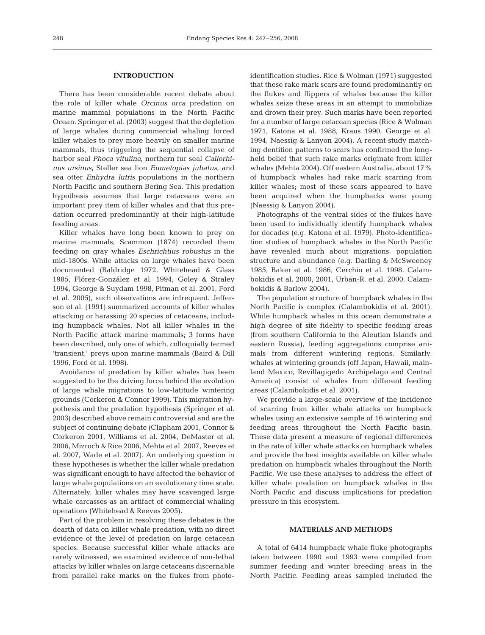# **INTRODUCTION**

There has been considerable recent debate about the role of killer whale *Orcinus orca* predation on marine mammal populations in the North Pacific Ocean. Springer et al. (2003) suggest that the depletion of large whales during commercial whaling forced killer whales to prey more heavily on smaller marine mammals, thus triggering the sequential collapse of harbor seal *Phoca vitulina*, northern fur seal *Callorhinus ursinus*, Steller sea lion *Eumetopias jubatus*, and sea otter *Enhydra lutris* populations in the northern North Pacific and southern Bering Sea. This predation hypothesis assumes that large cetaceans were an important prey item of killer whales and that this predation occurred predominantly at their high-latitude feeding areas.

Killer whales have long been known to prey on marine mammals; Scammon (1874) recorded them feeding on gray whales *Eschrichtius robustus* in the mid-1800s. While attacks on large whales have been documented (Baldridge 1972, Whitehead & Glass 1985, Flórez-González et al. 1994, Goley & Straley 1994, George & Suydam 1998, Pitman et al. 2001, Ford et al. 2005), such observations are infrequent. Jefferson et al. (1991) summarized accounts of killer whales attacking or harassing 20 species of cetaceans, including humpback whales. Not all killer whales in the North Pacific attack marine mammals; 3 forms have been described, only one of which, colloquially termed 'transient,' preys upon marine mammals (Baird & Dill 1996, Ford et al. 1998).

Avoidance of predation by killer whales has been suggested to be the driving force behind the evolution of large whale migrations to low-latitude wintering grounds (Corkeron & Connor 1999). This migration hypothesis and the predation hypothesis (Springer et al. 2003) described above remain controversial and are the subject of continuing debate (Clapham 2001, Connor & Corkeron 2001, Williams et al. 2004, DeMaster et al. 2006, Mizroch & Rice 2006, Mehta et al. 2007, Reeves et al. 2007, Wade et al. 2007). An underlying question in these hypotheses is whether the killer whale predation was significant enough to have affected the behavior of large whale populations on an evolutionary time scale. Alternately, killer whales may have scavenged large whale carcasses as an artifact of commercial whaling operations (Whitehead & Reeves 2005).

Part of the problem in resolving these debates is the dearth of data on killer whale predation, with no direct evidence of the level of predation on large cetacean species. Because successful killer whale attacks are rarely witnessed, we examined evidence of non-lethal attacks by killer whales on large cetaceans discernable from parallel rake marks on the flukes from photoidentification studies. Rice & Wolman (1971) suggested that these rake mark scars are found predominantly on the flukes and flippers of whales because the killer whales seize these areas in an attempt to immobilize and drown their prey. Such marks have been reported for a number of large cetacean species (Rice & Wolman 1971, Katona et al. 1988, Kraus 1990, George et al. 1994, Naessig & Lanyon 2004). A recent study matching dentition patterns to scars has confirmed the longheld belief that such rake marks originate from killer whales (Mehta 2004). Off eastern Australia, about 17% of humpback whales had rake mark scarring from killer whales; most of these scars appeared to have been acquired when the humpbacks were young (Naessig & Lanyon 2004).

Photographs of the ventral sides of the flukes have been used to individually identify humpback whales for decades (e.g. Katona et al. 1979). Photo-identification studies of humpback whales in the North Pacific have revealed much about migrations, population structure and abundance (e.g. Darling & McSweeney 1985, Baker et al. 1986, Cerchio et al. 1998, Calambokidis et al. 2000, 2001, Urbán-R. et al. 2000, Calambokidis & Barlow 2004).

The population structure of humpback whales in the North Pacific is complex (Calambokidis et al. 2001). While humpback whales in this ocean demonstrate a high degree of site fidelity to specific feeding areas (from southern California to the Aleutian Islands and eastern Russia), feeding aggregations comprise animals from different wintering regions. Similarly, whales at wintering grounds (off Japan, Hawaii, mainland Mexico, Revillagigedo Archipelago and Central America) consist of whales from different feeding areas (Calambokidis et al. 2001).

We provide a large-scale overview of the incidence of scarring from killer whale attacks on humpback whales using an extensive sample of 16 wintering and feeding areas throughout the North Pacific basin. These data present a measure of regional differences in the rate of killer whale attacks on humpback whales and provide the best insights available on killer whale predation on humpback whales throughout the North Pacific. We use these analyses to address the effect of killer whale predation on humpback whales in the North Pacific and discuss implications for predation pressure in this ecosystem.

# **MATERIALS AND METHODS**

A total of 6414 humpback whale fluke photographs taken between 1990 and 1993 were compiled from summer feeding and winter breeding areas in the North Pacific. Feeding areas sampled included the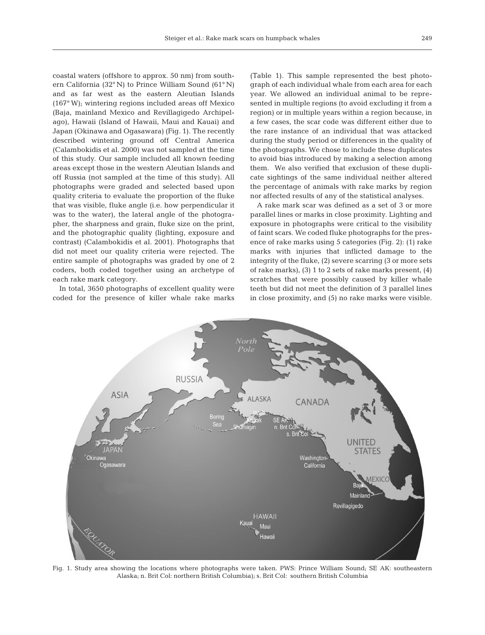coastal waters (offshore to approx. 50 nm) from southern California (32° N) to Prince William Sound (61° N) and as far west as the eastern Aleutian Islands (167° W); wintering regions included areas off Mexico (Baja, mainland Mexico and Revillagigedo Archipelago), Hawaii (Island of Hawaii, Maui and Kauai) and Japan (Okinawa and Ogasawara) (Fig. 1). The recently described wintering ground off Central America (Calambokidis et al. 2000) was not sampled at the time of this study. Our sample included all known feeding areas except those in the western Aleutian Islands and off Russia (not sampled at the time of this study). All photographs were graded and selected based upon quality criteria to evaluate the proportion of the fluke that was visible, fluke angle (i.e. how perpendicular it was to the water), the lateral angle of the photographer, the sharpness and grain, fluke size on the print, and the photographic quality (lighting, exposure and contrast) (Calambokidis et al. 2001). Photographs that did not meet our quality criteria were rejected. The entire sample of photographs was graded by one of 2 coders, both coded together using an archetype of each rake mark category.

In total, 3650 photographs of excellent quality were coded for the presence of killer whale rake marks (Table 1). This sample represented the best photograph of each individual whale from each area for each year. We allowed an individual animal to be represented in multiple regions (to avoid excluding it from a region) or in multiple years within a region because, in a few cases, the scar code was different either due to the rare instance of an individual that was attacked during the study period or differences in the quality of the photographs. We chose to include these duplicates to avoid bias introduced by making a selection among them. We also verified that exclusion of these duplicate sightings of the same individual neither altered the percentage of animals with rake marks by region nor affected results of any of the statistical analyses.

A rake mark scar was defined as a set of 3 or more parallel lines or marks in close proximity. Lighting and exposure in photographs were critical to the visibility of faint scars. We coded fluke photographs for the presence of rake marks using 5 categories (Fig. 2): (1) rake marks with injuries that inflicted damage to the integrity of the fluke, (2) severe scarring (3 or more sets of rake marks), (3) 1 to 2 sets of rake marks present, (4) scratches that were possibly caused by killer whale teeth but did not meet the definition of 3 parallel lines in close proximity, and (5) no rake marks were visible.



Fig. 1. Study area showing the locations where photographs were taken. PWS: Prince William Sound; SE AK: southeastern Alaska; n. Brit Col: northern British Columbia); s. Brit Col: southern British Columbia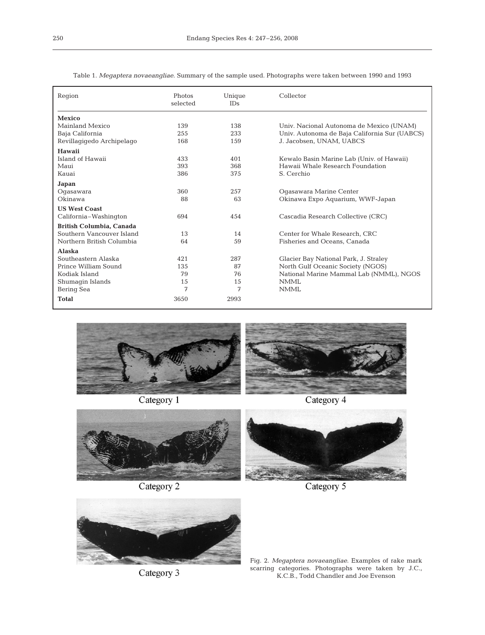| Region                          | Photos<br>selected | Unique<br><b>IDs</b> | Collector                                     |  |  |
|---------------------------------|--------------------|----------------------|-----------------------------------------------|--|--|
| Mexico                          |                    |                      |                                               |  |  |
| Mainland Mexico                 | 139                | 138                  | Univ. Nacional Autonoma de Mexico (UNAM)      |  |  |
| Baja California                 | 255                | 233                  | Univ. Autonoma de Baja California Sur (UABCS) |  |  |
| Revillagigedo Archipelago       | 168                | 159                  | J. Jacobsen, UNAM, UABCS                      |  |  |
| Hawaii                          |                    |                      |                                               |  |  |
| Island of Hawaii                | 433                | 401                  | Kewalo Basin Marine Lab (Univ. of Hawaii)     |  |  |
| Maui                            | 393                | 368                  | Hawaii Whale Research Foundation              |  |  |
| Kauai                           | 386                | 375                  | S. Cerchio                                    |  |  |
| Japan                           |                    |                      |                                               |  |  |
| Ogasawara                       | 360                | 257                  | Ogasawara Marine Center                       |  |  |
| Okinawa                         | 88                 | 63                   | Okinawa Expo Aquarium, WWF-Japan              |  |  |
| <b>US West Coast</b>            |                    |                      |                                               |  |  |
| California-Washington           | 694                | 454                  | Cascadia Research Collective (CRC)            |  |  |
| <b>British Columbia, Canada</b> |                    |                      |                                               |  |  |
| Southern Vancouver Island       | 13                 | 14                   | Center for Whale Research, CRC                |  |  |
| Northern British Columbia       | 64                 | 59                   | Fisheries and Oceans, Canada                  |  |  |
| <b>Alaska</b>                   |                    |                      |                                               |  |  |
| Southeastern Alaska             | 421                | 287                  | Glacier Bay National Park, J. Straley         |  |  |
| Prince William Sound            | 135                | 87                   | North Gulf Oceanic Society (NGOS)             |  |  |
| Kodiak Island                   | 79                 | 76                   | National Marine Mammal Lab (NMML), NGOS       |  |  |
| Shumagin Islands                | 15                 | 15                   | <b>NMML</b>                                   |  |  |
| Bering Sea                      | 7                  | 7                    | <b>NMML</b>                                   |  |  |
| <b>Total</b>                    | 3650               | 2993                 |                                               |  |  |

Table 1. *Megaptera novaeangliae*. Summary of the sample used. Photographs were taken between 1990 and 1993



Category 1

Category 4



Category 2



Category 3



Fig. 2. *Megaptera novaeangliae*. Examples of rake mark scarring categories. Photographs were taken by J.C., K.C.B., Todd Chandler and Joe Evenson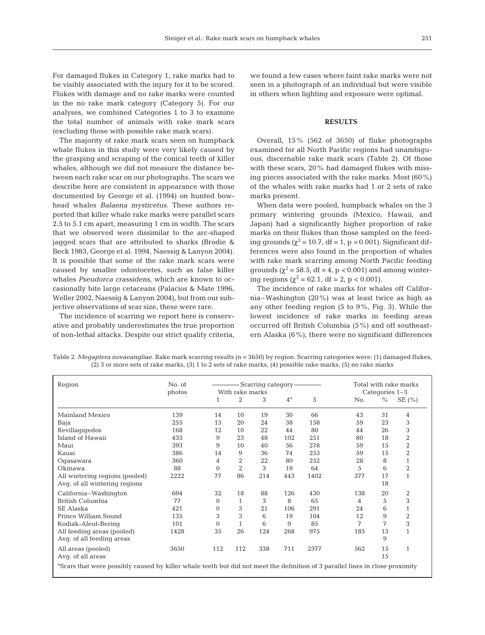For damaged flukes in Category 1, rake marks had to be visibly associated with the injury for it to be scored. Flukes with damage and no rake marks were counted in the no rake mark category (Category 5). For our analyses, we combined Categories 1 to 3 to examine the total number of animals with rake mark scars (excluding those with possible rake mark scars).

The majority of rake mark scars seen on humpback whale flukes in this study were very likely caused by the grasping and scraping of the conical teeth of killer whales, although we did not measure the distance between each rake scar on our photographs. The scars we describe here are consistent in appearance with those documented by George et al. (1994) on hunted bowhead whales *Balaena mysticetus*. These authors reported that killer whale rake marks were parallel scars 2.5 to 5.1 cm apart, measuring 1 cm in width. The scars that we observed were dissimilar to the arc-shaped jagged scars that are attributed to sharks (Brodie & Beck 1983, George et al. 1994, Naessig & Lanyon 2004). It is possible that some of the rake mark scars were caused by smaller odontocetes, such as false killer whales *Pseudorca crassidens*, which are known to occasionally bite large cetaceans (Palacios & Mate 1996, Weller 2002, Naessig & Lanyon 2004), but from our subjective observations of scar size, these were rare.

The incidence of scarring we report here is conservative and probably underestimates the true proportion of non-lethal attacks. Despite our strict quality criteria, we found a few cases where faint rake marks were not seen in a photograph of an individual but were visible in others when lighting and exposure were optimal.

## **RESULTS**

Overall, 15% (562 of 3650) of fluke photographs examined for all North Pacific regions had unambiguous, discernable rake mark scars (Table 2). Of those with these scars, 20% had damaged flukes with missing pieces associated with the rake marks. Most (60%) of the whales with rake marks had 1 or 2 sets of rake marks present.

When data were pooled, humpback whales on the 3 primary wintering grounds (Mexico, Hawaii, and Japan) had a significantly higher proportion of rake marks on their flukes than those sampled on the feeding grounds ( $\chi^2$  = 10.7, df = 1, p = 0.001). Significant differences were also found in the proportion of whales with rake mark scarring among North Pacific feeding grounds ( $\chi^2$  = 58.5, df = 4, p < 0.001) and among wintering regions ( $\chi^2$  = 62.1, df = 2, p < 0.001).

The incidence of rake marks for whales off California–Washington (20%) was at least twice as high as any other feeding region (5 to 9%, Fig. 3). While the lowest incidence of rake marks in feeding areas occurred off British Columbia (5%) and off southeastern Alaska (6%), there were no significant differences

| Region                         | No. of<br>photos | Scarring category-<br>With rake marks |                |     |             | Total with rake marks<br>Categories 1-3 |     |      |                |
|--------------------------------|------------------|---------------------------------------|----------------|-----|-------------|-----------------------------------------|-----|------|----------------|
|                                |                  |                                       | 2              | 3   | $4^{\rm a}$ | 5                                       | No. | $\%$ | SE $(\% )$     |
| Mainland Mexico                | 139              | 14                                    | 10             | 19  | 30          | 66                                      | 43  | 31   | 4              |
| Baja                           | 255              | 15                                    | 20             | 24  | 38          | 158                                     | 59  | 23   | 3              |
| Revillagigedos                 | 168              | 12                                    | 10             | 22  | 44          | 80                                      | 44  | 26   | 3              |
| Island of Hawaii               | 433              | 9                                     | 23             | 48  | 102         | 251                                     | 80  | 18   | $\overline{2}$ |
| Maui                           | 393              | 9                                     | 10             | 40  | 56          | 278                                     | 59  | 15   | $\overline{2}$ |
| Kauai                          | 386              | 14                                    | 9              | 36  | 74          | 253                                     | 59  | 15   | $\overline{2}$ |
| Oqasawara                      | 360              | 4                                     | 2              | 22  | 80          | 252                                     | 28  | 8    |                |
| Okinawa                        | 88               | $\Omega$                              | $\overline{2}$ | 3   | 19          | 64                                      | 5   | 6    | $\overline{2}$ |
| All wintering regions (pooled) | 2222             | 77                                    | 86             | 214 | 443         | 1402                                    | 377 | 17   |                |
| Avq. of all wintering regions  |                  |                                       |                |     |             |                                         |     | 18   |                |
| California-Washington          | 694              | 32                                    | 18             | 88  | 126         | 430                                     | 138 | 20   | $\overline{2}$ |
| British Columbia               | 77               | $\Omega$                              |                | 3   | 8           | 65                                      | 4   | 5    | 3              |

Table 2. *Megaptera novaeangliae.* Rake mark scarring results (n = 3650) by region. Scarring categories were: (1) damaged flukes, (2) 3 or more sets of rake marks, (3) 1 to 2 sets of rake marks, (4) possible rake marks, (5) no rake marks

SE Alaska 421 0 3 21 106 291 24 6 1 Prince William Sound<br>
135 3 3 6 19 104 12 9 2<br>
13 6 9 85 7 7 3 Kodiak-Aleut-Bering 101 0 1 6 9 85 7 7 3<br>
All feeding areas (pooled) 1428 35 26 124 268 975 185 13 1 All feeding areas (pooled) 1428 35 26 124 Avg. of all feeding areas 9 All areas (pooled) 3650 112 112 338 711 2377 562 15 1<br>Avg. of all areas 15 15 Avg. of all areas <sup>a</sup>Scars that were possibly caused by killer whale teeth but did not meet the definition of 3 parallel lines in close proximity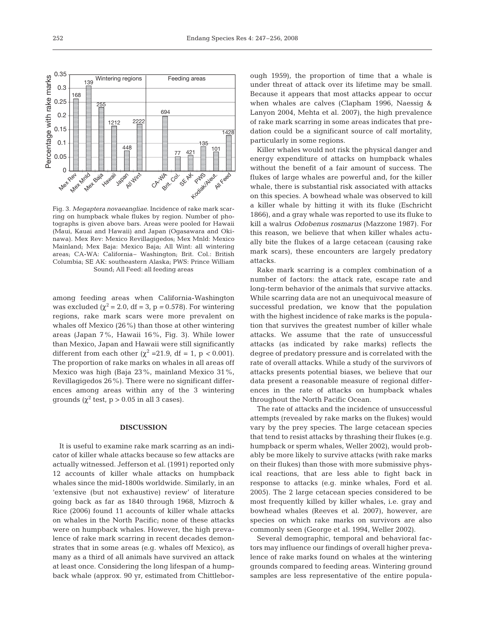

among feeding areas when California-Washington was excluded  $(\chi^2 = 2.0, df = 3, p = 0.578)$ . For wintering regions, rake mark scars were more prevalent on whales off Mexico (26%) than those at other wintering areas (Japan 7%, Hawaii 16%, Fig. 3). While lower than Mexico, Japan and Hawaii were still significantly different from each other ( $\chi^2$  =21.9, df = 1, p < 0.001). The proportion of rake marks on whales in all areas off Mexico was high (Baja 23%, mainland Mexico 31%, Revillagigedos 26%). There were no significant differences among areas within any of the 3 wintering grounds ( $\chi^2$  test,  $p > 0.05$  in all 3 cases).

#### **DISCUSSION**

It is useful to examine rake mark scarring as an indicator of killer whale attacks because so few attacks are actually witnessed. Jefferson et al. (1991) reported only 12 accounts of killer whale attacks on humpback whales since the mid-1800s worldwide. Similarly, in an 'extensive (but not exhaustive) review' of literature going back as far as 1840 through 1968, Mizroch & Rice (2006) found 11 accounts of killer whale attacks on whales in the North Pacific; none of these attacks were on humpback whales. However, the high prevalence of rake mark scarring in recent decades demonstrates that in some areas (e.g. whales off Mexico), as many as a third of all animals have survived an attack at least once. Considering the long lifespan of a humpback whale (approx. 90 yr, estimated from Chittleborough 1959), the proportion of time that a whale is under threat of attack over its lifetime may be small. Because it appears that most attacks appear to occur when whales are calves (Clapham 1996, Naessig & Lanyon 2004, Mehta et al. 2007), the high prevalence of rake mark scarring in some areas indicates that predation could be a significant source of calf mortality, particularly in some regions.

Killer whales would not risk the physical danger and energy expenditure of attacks on humpback whales without the benefit of a fair amount of success. The flukes of large whales are powerful and, for the killer whale, there is substantial risk associated with attacks on this species. A bowhead whale was observed to kill a killer whale by hitting it with its fluke (Eschricht 1866), and a gray whale was reported to use its fluke to kill a walrus *Odobenus rosmarus* (Mazzone 1987). For this reason, we believe that when killer whales actually bite the flukes of a large cetacean (causing rake mark scars), these encounters are largely predatory attacks.

Rake mark scarring is a complex combination of a number of factors: the attack rate, escape rate and long-term behavior of the animals that survive attacks. While scarring data are not an unequivocal measure of successful predation, we know that the population with the highest incidence of rake marks is the population that survives the greatest number of killer whale attacks. We assume that the rate of unsuccessful attacks (as indicated by rake marks) reflects the degree of predatory pressure and is correlated with the rate of overall attacks. While a study of the survivors of attacks presents potential biases, we believe that our data present a reasonable measure of regional differences in the rate of attacks on humpback whales throughout the North Pacific Ocean.

The rate of attacks and the incidence of unsuccessful attempts (revealed by rake marks on the flukes) would vary by the prey species. The large cetacean species that tend to resist attacks by thrashing their flukes (e.g. humpback or sperm whales, Weller 2002), would probably be more likely to survive attacks (with rake marks on their flukes) than those with more submissive physical reactions, that are less able to fight back in response to attacks (e.g. minke whales, Ford et al. 2005). The 2 large cetacean species considered to be most frequently killed by killer whales, i.e. gray and bowhead whales (Reeves et al. 2007), however, are species on which rake marks on survivors are also commonly seen (George et al. 1994, Weller 2002).

Several demographic, temporal and behavioral factors may influence our findings of overall higher prevalence of rake marks found on whales at the wintering grounds compared to feeding areas. Wintering ground samples are less representative of the entire popula-

0.15 0.2 0.25 0.3 0.35

Percentage with rake marks

Percentage with rake marks

0.05 0.1

> **Mex Me**<br>O Head **Mex Mnld Mex** Baja **Hawaii** Japan **All Wints**

168

139

255

1212 2222

448

694

CA-WA Briti. Col. SE AX

Kodiak/Aleut.

135

77 421

**All Feed** 

101

1428

Wintering regions | Feeding areas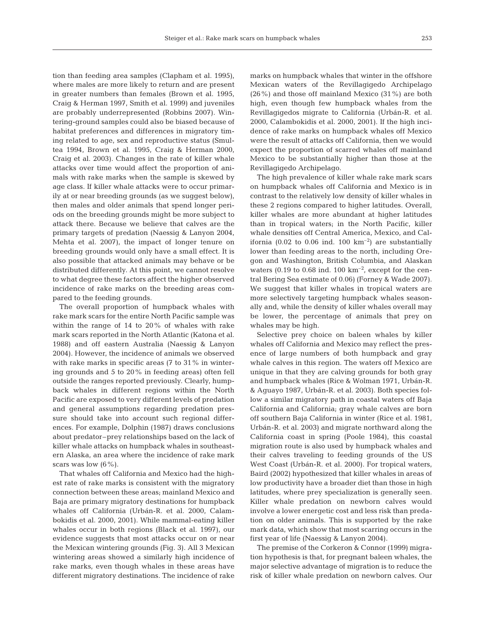tion than feeding area samples (Clapham et al. 1995), where males are more likely to return and are present in greater numbers than females (Brown et al. 1995, Craig & Herman 1997, Smith et al. 1999) and juveniles are probably underrepresented (Robbins 2007). Wintering-ground samples could also be biased because of habitat preferences and differences in migratory timing related to age, sex and reproductive status (Smultea 1994, Brown et al. 1995, Craig & Herman 2000, Craig et al. 2003). Changes in the rate of killer whale attacks over time would affect the proportion of animals with rake marks when the sample is skewed by age class. If killer whale attacks were to occur primarily at or near breeding grounds (as we suggest below), then males and older animals that spend longer periods on the breeding grounds might be more subject to attack there. Because we believe that calves are the primary targets of predation (Naessig & Lanyon 2004, Mehta et al. 2007), the impact of longer tenure on breeding grounds would only have a small effect. It is also possible that attacked animals may behave or be distributed differently. At this point, we cannot resolve to what degree these factors affect the higher observed incidence of rake marks on the breeding areas compared to the feeding grounds.

The overall proportion of humpback whales with rake mark scars for the entire North Pacific sample was within the range of 14 to 20% of whales with rake mark scars reported in the North Atlantic (Katona et al. 1988) and off eastern Australia (Naessig & Lanyon 2004). However, the incidence of animals we observed with rake marks in specific areas (7 to 31% in wintering grounds and 5 to 20% in feeding areas) often fell outside the ranges reported previously. Clearly, humpback whales in different regions within the North Pacific are exposed to very different levels of predation and general assumptions regarding predation pressure should take into account such regional differences. For example, Dolphin (1987) draws conclusions about predator–prey relationships based on the lack of killer whale attacks on humpback whales in southeastern Alaska, an area where the incidence of rake mark scars was low  $(6\%)$ .

That whales off California and Mexico had the highest rate of rake marks is consistent with the migratory connection between these areas; mainland Mexico and Baja are primary migratory destinations for humpback whales off California (Urbán-R. et al. 2000, Calambokidis et al. 2000, 2001). While mammal-eating killer whales occur in both regions (Black et al. 1997), our evidence suggests that most attacks occur on or near the Mexican wintering grounds (Fig. 3). All 3 Mexican wintering areas showed a similarly high incidence of rake marks, even though whales in these areas have different migratory destinations. The incidence of rake marks on humpback whales that winter in the offshore Mexican waters of the Revillagigedo Archipelago (26%) and those off mainland Mexico (31%) are both high, even though few humpback whales from the Revillagigedos migrate to California (Urbán-R. et al. 2000, Calambokidis et al. 2000, 2001). If the high incidence of rake marks on humpback whales off Mexico were the result of attacks off California, then we would expect the proportion of scarred whales off mainland Mexico to be substantially higher than those at the Revillagigedo Archipelago.

The high prevalence of killer whale rake mark scars on humpback whales off California and Mexico is in contrast to the relatively low density of killer whales in these 2 regions compared to higher latitudes. Overall, killer whales are more abundant at higher latitudes than in tropical waters; in the North Pacific, killer whale densities off Central America, Mexico, and California (0.02 to 0.06 ind. 100  $km^{-2}$ ) are substantially lower than feeding areas to the north, including Oregon and Washington, British Columbia, and Alaskan waters (0.19 to 0.68 ind. 100  $km^{-2}$ , except for the central Bering Sea estimate of 0.06) (Forney & Wade 2007). We suggest that killer whales in tropical waters are more selectively targeting humpback whales seasonally and, while the density of killer whales overall may be lower, the percentage of animals that prey on whales may be high.

Selective prey choice on baleen whales by killer whales off California and Mexico may reflect the presence of large numbers of both humpback and gray whale calves in this region. The waters off Mexico are unique in that they are calving grounds for both gray and humpback whales (Rice & Wolman 1971, Urbán-R. & Aguayo 1987, Urbán-R. et al. 2003). Both species follow a similar migratory path in coastal waters off Baja California and California; gray whale calves are born off southern Baja California in winter (Rice et al. 1981, Urbán-R. et al. 2003) and migrate northward along the California coast in spring (Poole 1984), this coastal migration route is also used by humpback whales and their calves traveling to feeding grounds of the US West Coast (Urbán-R. et al. 2000). For tropical waters, Baird (2002) hypothesized that killer whales in areas of low productivity have a broader diet than those in high latitudes, where prey specialization is generally seen. Killer whale predation on newborn calves would involve a lower energetic cost and less risk than predation on older animals. This is supported by the rake mark data, which show that most scarring occurs in the first year of life (Naessig & Lanyon 2004).

The premise of the Corkeron & Connor (1999) migration hypothesis is that, for pregnant baleen whales, the major selective advantage of migration is to reduce the risk of killer whale predation on newborn calves. Our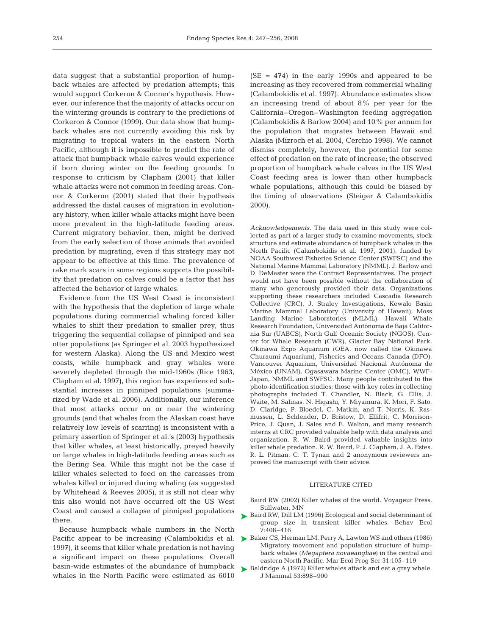data suggest that a substantial proportion of humpback whales are affected by predation attempts; this would support Corkeron & Conner's hypothesis. However, our inference that the majority of attacks occur on the wintering grounds is contrary to the predictions of Corkeron & Connor (1999). Our data show that humpback whales are not currently avoiding this risk by migrating to tropical waters in the eastern North Pacific, although it is impossible to predict the rate of attack that humpback whale calves would experience if born during winter on the feeding grounds. In response to criticism by Clapham (2001) that killer whale attacks were not common in feeding areas, Connor & Corkeron (2001) stated that their hypothesis addressed the distal causes of migration in evolutionary history, when killer whale attacks might have been more prevalent in the high-latitude feeding areas. Current migratory behavior, then, might be derived from the early selection of those animals that avoided predation by migrating, even if this strategy may not appear to be effective at this time. The prevalence of rake mark scars in some regions supports the possibility that predation on calves could be a factor that has affected the behavior of large whales.

Evidence from the US West Coast is inconsistent with the hypothesis that the depletion of large whale populations during commercial whaling forced killer whales to shift their predation to smaller prey, thus triggering the sequential collapse of pinniped and sea otter populations (as Springer et al. 2003 hypothesized for western Alaska). Along the US and Mexico west coasts, while humpback and gray whales were severely depleted through the mid-1960s (Rice 1963, Clapham et al. 1997), this region has experienced substantial increases in pinniped populations (summarized by Wade et al. 2006). Additionally, our inference that most attacks occur on or near the wintering grounds (and that whales from the Alaskan coast have relatively low levels of scarring) is inconsistent with a primary assertion of Springer et al.'s (2003) hypothesis that killer whales, at least historically, preyed heavily on large whales in high-latitude feeding areas such as the Bering Sea. While this might not be the case if killer whales selected to feed on the carcasses from whales killed or injured during whaling (as suggested by Whitehead & Reeves 2005), it is still not clear why this also would not have occurred off the US West Coast and caused a collapse of pinniped populations there.

Because humpback whale numbers in the North Pacific appear to be increasing (Calambokidis et al. 1997), it seems that killer whale predation is not having a significant impact on these populations. Overall basin-wide estimates of the abundance of humpback whales in the North Pacific were estimated as 6010

 $(SE = 474)$  in the early 1990s and appeared to be increasing as they recovered from commercial whaling (Calambokidis et al. 1997). Abundance estimates show an increasing trend of about 8% per year for the California–Oregon–Washington feeding aggregation (Calambokidis & Barlow 2004) and 10% per annum for the population that migrates between Hawaii and Alaska (Mizroch et al. 2004, Cerchio 1998). We cannot dismiss completely, however, the potential for some effect of predation on the rate of increase; the observed proportion of humpback whale calves in the US West Coast feeding area is lower than other humpback whale populations, although this could be biased by the timing of observations (Steiger & Calambokidis 2000).

*Acknowledgements.* The data used in this study were collected as part of a larger study to examine movements, stock structure and estimate abundance of humpback whales in the North Pacific (Calambokidis et al. 1997, 2001), funded by NOAA Southwest Fisheries Science Center (SWFSC) and the National Marine Mammal Laboratory (NMML). J. Barlow and D. DeMaster were the Contract Representatives. The project would not have been possible without the collaboration of many who generously provided their data. Organizations supporting these researchers included Cascadia Research Collective (CRC), J. Straley Investigations, Kewalo Basin Marine Mammal Laboratory (University of Hawaii), Moss Landing Marine Laboratories (MLML), Hawaii Whale Research Foundation, Universidad Autónoma de Baja California Sur (UABCS), North Gulf Oceanic Society (NGOS), Center for Whale Research (CWR), Glacier Bay National Park, Okinawa Expo Aquarium (OEA, now called the Okinawa Churaumi Aquarium), Fisheries and Oceans Canada (DFO), Vancouver Aquarium, Universidad Nacional Autónoma de México (UNAM), Ogasawara Marine Center (OMC), WWF-Japan, NMML and SWFSC. Many people contributed to the photo-identification studies; those with key roles in collecting photographs included T. Chandler, N. Black, G. Ellis, J. Waite, M. Salinas, N. Higashi, Y. Miyamura, K. Mori, F. Sato, D. Claridge, P. Bloedel, C. Matkin, and T. Norris. K. Rasmussen, L. Schlender, D. Bristow, D. Ellifrit, C. Morrison-Price, J. Quan, J. Sales and E. Walton, and many research interns at CRC provided valuable help with data analysis and organization. R. W. Baird provided valuable insights into killer whale predation. R. W. Baird, P. J. Clapham, J. A. Estes, R. L. Pitman, C. T. Tynan and 2 anonymous reviewers improved the manuscript with their advice.

### LITERATURE CITED

- Baird RW (2002) Killer whales of the world. Voyageur Press, Stillwater, MN
- ▶ Baird RW, Dill LM (1996) Ecological and social determinant of group size in transient killer whales. Behav Ecol 7:408–416
- ▶ Baker CS, Herman LM, Perry A, Lawton WS and others (1986) Migratory movement and population structure of humpback whales (*Megaptera novaeangliae*) in the central and eastern North Pacific. Mar Ecol Prog Ser 31:105–119
- ▶ Baldridge A (1972) Killer whales attack and eat a gray whale. J Mammal 53:898–900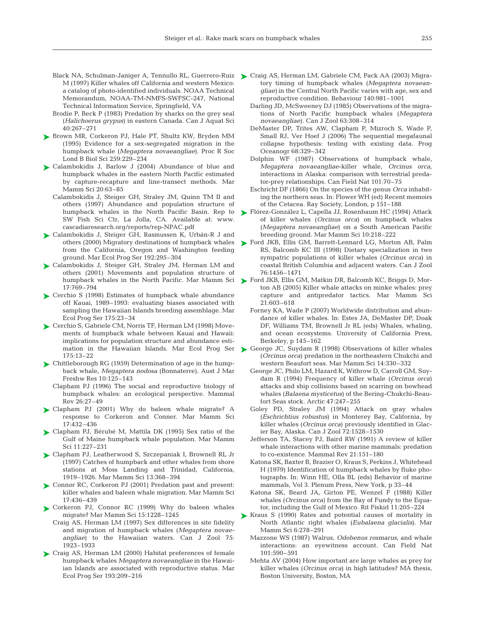- Black NA, Schulman-Janiger A, Tennullo RL, Guerrero-Ruiz > Craig AS, Herman LM, Gabriele CM, Pack AA (2003) Migra-M (1997) Killer whales off California and western Mexico: a catalog of photo-identified individuals. NOAA Technical Memorandum, NOAA-TM-NMFS-SWFSC-247, National Technical Information Service, Springfield, VA
- Brodie P, Beck P (1983) Predation by sharks on the grey seal (*Halichoerus grypus*) in eastern Canada. Can J Aquat Sci 40:267–271
- ► Brown MR, Corkeron PJ, Hale PT, Shultz KW, Bryden MM (1995) Evidence for a sex-segregated migration in the humpback whale (*Megaptera novaeangliae*). Proc R Soc Lond B Biol Sci 259:229–234
- ► Calambokidis J, Barlow J (2004) Abundance of blue and humpback whales in the eastern North Pacific estimated by capture-recapture and line-transect methods. Mar Mamm Sci 20:63–85
	- Calambokidis J, Steiger GH, Straley JM, Quinn TM II and others (1997) Abundance and population structure of humpback whales in the North Pacific Basin. Rep to SW Fish Sci Ctr, La Jolla, CA. Available at: www. cascadiaresearch.org/reports/rep-NPAC.pdf
- ► Calambokidis J, Steiger GH, Rasmussen K, Urbán-R J and others (2000) Migratory destinations of humpback whales from the California, Oregon and Washington feeding ground. Mar Ecol Prog Ser 192:295–304
- ► Calambokidis J, Steiger GH, Straley JM, Herman LM and others (2001) Movements and population structure of humpback whales in the North Pacific. Mar Mamm Sci 17:769–794
- ► Cerchio S (1998) Estimates of humpback whale abundance off Kauai, 1989–1993: evaluating biases associated with sampling the Hawaiian Islands breeding assemblage. Mar Ecol Prog Ser 175:23–34
- ► Cerchio S, Gabriele CM, Norris TF, Herman LM (1998) Movements of humpback whale between Kauai and Hawaii: implications for population structure and abundance esti-175:13–22
- ► Chittleborough RG (1959) Determination of age in the humpback whale, *Megaptera nodosa* (Bonnaterre). Aust J Mar Freshw Res 10:125–143
	- Clapham PJ (1996) The social and reproductive biology of humpback whales: an ecological perspective. Mammal Rev 26:27–49
- Clapham PJ (2001) Why do baleen whale migrate? A ➤ response to Corkeron and Conner. Mar Mamm Sci 17:432–436
- ► Clapham PJ, Bérubé M, Mattila DK (1995) Sex ratio of the Gulf of Maine humpback whale population. Mar Mamm Sci 11:227–231
- ► Clapham PJ, Leatherwood S, Szczepaniak I, Brownell RL Jr (1997) Catches of humpback and other whales from shore stations at Moss Landing and Trinidad, California, 1919–1926. Mar Mamm Sci 13:368–394
- ► Connor RC, Corkeron PJ (2001) Predation past and present: killer whales and baleen whale migration. Mar Mamm Sci 17:436–439
- ► Corkeron PJ, Connor RC (1999) Why do baleen whales migrate? Mar Mamm Sci 15:1228–1245
	- Craig AS, Herman LM (1997) Sex differences in site fidelity and migration of humpback whales (*Megaptera novaeangliae*) to the Hawaiian waters. Can J Zool 75: 1923–1933
- ▶ Craig AS, Herman LM (2000) Habitat preferences of female humpback whales *Megaptera novaeangliae* in the Hawaiian Islands are associated with reproductive status. Mar Ecol Prog Ser 193:209–216
- tory timing of humpback whales (*Megaptera novaeangliae)* in the Central North Pacific varies with age, sex and reproductive condition. Behaviour 140:981–1001
- Darling JD, McSweeney DJ (1985) Observations of the migrations of North Pacific humpback whales (*Megaptera novaeangliae*). Can J Zool 63:308–314
- DeMaster DP, Trites AW, Clapham P, Mizroch S, Wade P, Small RJ, Ver Hoef J (2006) The sequential megafaunal collapse hypothesis: testing with existing data. Prog Oceanogr 68:329–342
- Dolphin WF (1987) Observations of humpback whale, *Megaptera novaeangliae*-killer whale, *Orcinus orca*, interactions in Alaska: comparison with terrestrial predator-prey relationships. Can Field Nat 101:70–75
- Eschricht DF (1866) On the species of the genus *Orca* inhabiting the northern seas. In: Flower WH (ed) Recent memoirs of the Cetacea. Ray Society, London, p 151–188
- ► Flórez-González L, Capella JJ, Rosenbaum HC (1994) Attack of killer whales (*Orcinus orca*) on humpback whales (*Megaptera novaeangliae*) on a South American Pacific breeding ground. Mar Mamm Sci 10:218–222
- ► Ford JKB, Ellis GM, Barrett-Lennard LG, Morton AB, Palm RS, Balcomb KC III (1998) Dietary specialization in two sympatric populations of killer whales (*Orcinus orca*) in coastal British Columbia and adjacent waters. Can J Zool 76:1456–1471
- ► Ford JKB, Ellis GM, Matkin DR, Balcomb KC, Briggs D, Morton AB (2005) Killer whale attacks on minke whales: prey capture and antipredator tactics. Mar Mamm Sci 21:603–618
	- Forney KA, Wade P (2007) Worldwide distribution and abundance of killer whales. In: Estes JA, DeMaster DP, Doak DF, Williams TM, Brownell Jr RL (eds) Whales, whaling, and ocean ecosystems. University of California Press, Berkeley, p 145–162
- mation in the Hawaiian Islands. Mar Ecol Prog Ser ▶ George JC, Suydam R (1998) Observations of killer whales (*Orcinus orca*) predation in the northeastern Chukchi and western Beaufort seas. Mar Mamm Sci 14:330–332
	- George JC, Philo LM, Hazard K, Withrow D, Carroll GM, Suydam R (1994) Frequency of killer whale (*Orcinus orca*) attacks and ship collisions based on scarring on bowhead whales (*Balaena mysticetus*) of the Bering-Chukchi-Beaufort Seas stock. Arctic 47:247–255
	- Goley PD, Straley JM (1994) Attack on gray whales (*Eschrichtius robustus*) in Monterey Bay, California, by killer whales (*Orcinus orca*) previously identified in Glacier Bay, Alaska. Can J Zool 72:1528–1530
	- Jefferson TA, Stacey PJ, Baird RW (1991) A review of killer whale interactions with other marine mammals: predation to co-existence. Mammal Rev 21:151–180
	- Katona SK, Baxter B, Brazier O, Kraus S, Perkins J, Whitehead H (1979) Identification of humpback whales by fluke photographs. In: Winn HE, Olla BL (eds) Behavior of marine mammals, Vol 3. Plenum Press, New York, p 33–44
	- Katona SK, Beard JA, Girton PE, Wenzel F (1988) Killer whales (*Orcinus orca*) from the Bay of Fundy to the Equator, including the Gulf of Mexico. Rit Fiskid 11:205–224
	- Kraus S (1990) Rates and potential causes of mortality in ➤North Atlantic right whales (*Eubalaena glacialis*). Mar Mamm Sci 6:278–291
		- Mazzone WS (1987) Walrus, *Odobenus rosmarus*, and whale interactions: an eyewitness account. Can Field Nat 101:590–591
		- Mehta AV (2004) How important are large whales as prey for killer whales (*Orcinus orca*) in high latitudes? MA thesis, Boston University, Boston, MA